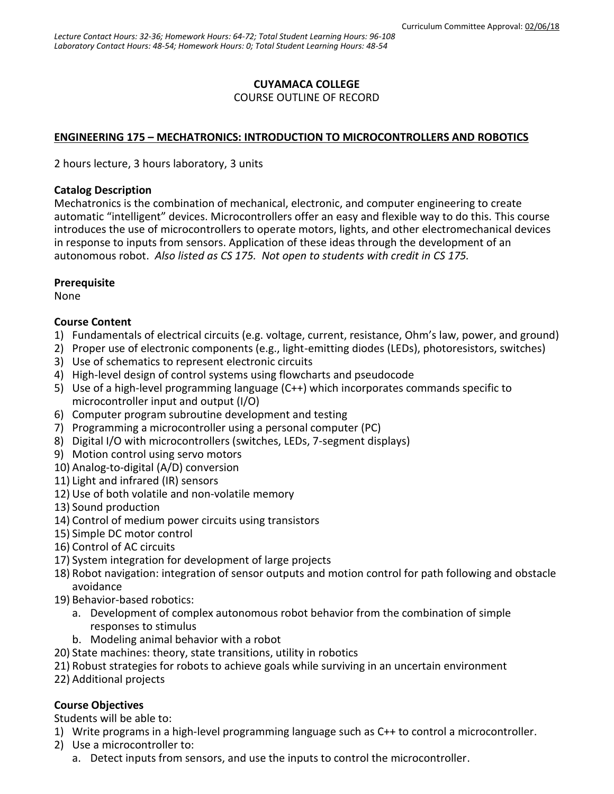## **CUYAMACA COLLEGE**

### COURSE OUTLINE OF RECORD

### **ENGINEERING 175 – MECHATRONICS: INTRODUCTION TO MICROCONTROLLERS AND ROBOTICS**

2 hours lecture, 3 hours laboratory, 3 units

#### **Catalog Description**

Mechatronics is the combination of mechanical, electronic, and computer engineering to create automatic "intelligent" devices. Microcontrollers offer an easy and flexible way to do this. This course introduces the use of microcontrollers to operate motors, lights, and other electromechanical devices in response to inputs from sensors. Application of these ideas through the development of an autonomous robot. *Also listed as CS 175. Not open to students with credit in CS 175.*

### **Prerequisite**

None

### **Course Content**

- 1) Fundamentals of electrical circuits (e.g. voltage, current, resistance, Ohm's law, power, and ground)
- 2) Proper use of electronic components (e.g., light-emitting diodes (LEDs), photoresistors, switches)
- 3) Use of schematics to represent electronic circuits
- 4) High-level design of control systems using flowcharts and pseudocode
- 5) Use of a high-level programming language (C++) which incorporates commands specific to microcontroller input and output (I/O)
- 6) Computer program subroutine development and testing
- 7) Programming a microcontroller using a personal computer (PC)
- 8) Digital I/O with microcontrollers (switches, LEDs, 7-segment displays)
- 9) Motion control using servo motors
- 10) Analog-to-digital (A/D) conversion
- 11) Light and infrared (IR) sensors
- 12) Use of both volatile and non-volatile memory
- 13) Sound production
- 14) Control of medium power circuits using transistors
- 15) Simple DC motor control
- 16) Control of AC circuits
- 17) System integration for development of large projects
- 18) Robot navigation: integration of sensor outputs and motion control for path following and obstacle avoidance
- 19) Behavior-based robotics:
	- a. Development of complex autonomous robot behavior from the combination of simple responses to stimulus
	- b. Modeling animal behavior with a robot
- 20) State machines: theory, state transitions, utility in robotics
- 21) Robust strategies for robots to achieve goals while surviving in an uncertain environment
- 22) Additional projects

## **Course Objectives**

Students will be able to:

- 1) Write programs in a high-level programming language such as C++ to control a microcontroller.
- 2) Use a microcontroller to:
	- a. Detect inputs from sensors, and use the inputs to control the microcontroller.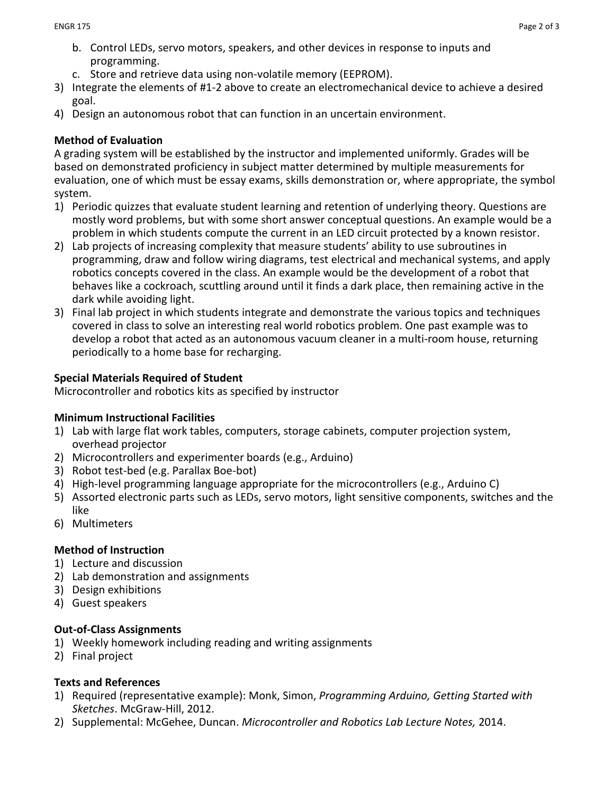- b. Control LEDs, servo motors, speakers, and other devices in response to inputs and programming.
- c. Store and retrieve data using non-volatile memory (EEPROM).
- 3) Integrate the elements of #1-2 above to create an electromechanical device to achieve a desired goal.
- 4) Design an autonomous robot that can function in an uncertain environment.

### **Method of Evaluation**

A grading system will be established by the instructor and implemented uniformly. Grades will be based on demonstrated proficiency in subject matter determined by multiple measurements for evaluation, one of which must be essay exams, skills demonstration or, where appropriate, the symbol system.

- 1) Periodic quizzes that evaluate student learning and retention of underlying theory. Questions are mostly word problems, but with some short answer conceptual questions. An example would be a problem in which students compute the current in an LED circuit protected by a known resistor.
- 2) Lab projects of increasing complexity that measure students' ability to use subroutines in programming, draw and follow wiring diagrams, test electrical and mechanical systems, and apply robotics concepts covered in the class. An example would be the development of a robot that behaves like a cockroach, scuttling around until it finds a dark place, then remaining active in the dark while avoiding light.
- 3) Final lab project in which students integrate and demonstrate the various topics and techniques covered in class to solve an interesting real world robotics problem. One past example was to develop a robot that acted as an autonomous vacuum cleaner in a multi-room house, returning periodically to a home base for recharging.

## **Special Materials Required of Student**

Microcontroller and robotics kits as specified by instructor

### **Minimum Instructional Facilities**

- 1) Lab with large flat work tables, computers, storage cabinets, computer projection system, overhead projector
- 2) Microcontrollers and experimenter boards (e.g., Arduino)
- 3) Robot test-bed (e.g. Parallax Boe-bot)
- 4) High-level programming language appropriate for the microcontrollers (e.g., Arduino C)
- 5) Assorted electronic parts such as LEDs, servo motors, light sensitive components, switches and the like
- 6) Multimeters

### **Method of Instruction**

- 1) Lecture and discussion
- 2) Lab demonstration and assignments
- 3) Design exhibitions
- 4) Guest speakers

### **Out-of-Class Assignments**

- 1) Weekly homework including reading and writing assignments
- 2) Final project

### **Texts and References**

- 1) Required (representative example): Monk, Simon, *Programming Arduino, Getting Started with Sketches*. McGraw-Hill, 2012.
- 2) Supplemental: McGehee, Duncan. *Microcontroller and Robotics Lab Lecture Notes,* 2014.